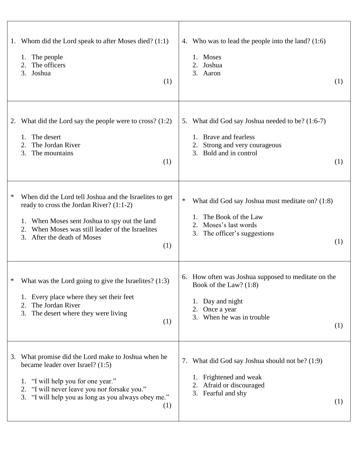| Whom did the Lord speak to after Moses died? (1:1)<br>1.<br>1. The people<br>The officers<br>3. Joshua<br>(1)                                                                                                                                                | 4. Who was to lead the people into the land? (1:6)<br>Moses<br>1.<br>2. Joshua<br>3. Aaron<br>(1)                                                                |
|--------------------------------------------------------------------------------------------------------------------------------------------------------------------------------------------------------------------------------------------------------------|------------------------------------------------------------------------------------------------------------------------------------------------------------------|
| What did the Lord say the people were to cross? $(1:2)$<br>2.<br>The desert<br>1.<br>The Jordan River<br>2.<br>The mountains<br>3.<br>(1)                                                                                                                    | 5. What did God say Joshua needed to be? (1:6-7)<br>Brave and fearless<br>Strong and very courageous<br>Bold and in control<br>3.<br>(1)                         |
| ∗<br>When did the Lord tell Joshua and the Israelites to get<br>ready to cross the Jordan River? (1:1-2)<br>When Moses sent Joshua to spy out the land<br>1.<br>When Moses was still leader of the Israelites<br>2.<br>After the death of Moses<br>3.<br>(1) | $\ast$<br>What did God say Joshua must meditate on? (1:8)<br>The Book of the Law<br>Moses's last words<br>2.<br>3. The officer's suggestions<br>(1)              |
| What was the Lord going to give the Israelites? $(1:3)$<br>*<br>1. Every place where they set their feet<br>The Jordan River<br>2.<br>3. The desert where they were living<br>(1)                                                                            | 6. How often was Joshua supposed to meditate on the<br>Book of the Law? (1:8)<br>Day and night<br>1.<br>Once a year<br>2.<br>When he was in trouble<br>3.<br>(1) |
| What promise did the Lord make to Joshua when he<br>3.<br>became leader over Israel? (1:5)<br>1. "I will help you for one year."<br>2. "I will never leave you nor forsake you."<br>3. "I will help you as long as you always obey me."<br>(1)               | 7. What did God say Joshua should not be? (1:9)<br>Frightened and weak<br>Afraid or discouraged<br>3. Fearful and shy<br>(1)                                     |

 $\Gamma$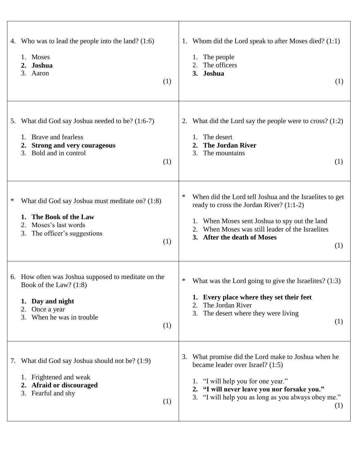| Who was to lead the people into the land? $(1:6)$<br>4.<br>1. Moses<br>2. Joshua<br>3. Aaron<br>(1)                                                                | Whom did the Lord speak to after Moses died? (1:1)<br>1.<br>The people<br>1.<br>The officers<br>3. Joshua<br>(1)                                                                                                                                  |
|--------------------------------------------------------------------------------------------------------------------------------------------------------------------|---------------------------------------------------------------------------------------------------------------------------------------------------------------------------------------------------------------------------------------------------|
| 5. What did God say Joshua needed to be? (1:6-7)<br><b>Brave and fearless</b><br>1.<br><b>Strong and very courageous</b><br>2.<br>Bold and in control<br>3.<br>(1) | What did the Lord say the people were to cross? $(1:2)$<br>2.<br>The desert<br><b>The Jordan River</b><br>$\overline{2}$ .<br>The mountains<br>3.<br>(1)                                                                                          |
| What did God say Joshua must meditate on? (1:8)<br>*<br>The Book of the Law<br>1.<br>Moses's last words<br>2.<br>The officer's suggestions<br>3.<br>(1)            | ∗<br>When did the Lord tell Joshua and the Israelites to get<br>ready to cross the Jordan River? (1:1-2)<br>1. When Moses sent Joshua to spy out the land<br>When Moses was still leader of the Israelites<br>3. After the death of Moses<br>(1)  |
| 6. How often was Joshua supposed to meditate on the<br>Book of the Law? (1:8)<br>1. Day and night<br>Once a year<br>2.<br>When he was in trouble<br>3.<br>(1)      | ∗<br>What was the Lord going to give the Israelites? $(1:3)$<br>1. Every place where they set their feet<br>The Jordan River<br>2.<br>3. The desert where they were living<br>(1)                                                                 |
| 7. What did God say Joshua should not be? (1:9)<br>1. Frightened and weak<br>Afraid or discouraged<br>2.<br>Fearful and shy<br>3.<br>(1)                           | What promise did the Lord make to Joshua when he<br>3.<br>became leader over Israel? (1:5)<br>1. "I will help you for one year."<br>"I will never leave you nor forsake you."<br>2.<br>3. "I will help you as long as you always obey me."<br>(1) |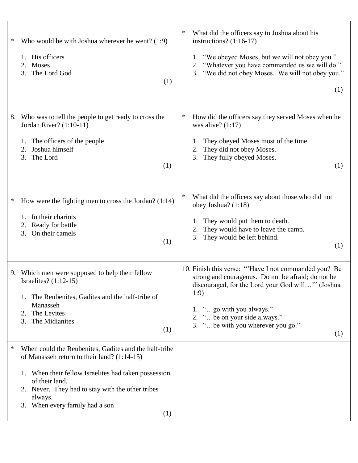| Who would be with Joshua wherever he went? (1:9)<br>∗<br>1. His officers<br>2. Moses<br>The Lord God<br>3.<br>(1)                                                                                                                                                                           | ∗<br>What did the officers say to Joshua about his<br>instructions? $(1:16-17)$<br>1. "We obeyed Moses, but we will not obey you."<br>2. "Whatever you have commanded us we will do."<br>3. "We did not obey Moses. We will not obey you."<br>(1)                               |
|---------------------------------------------------------------------------------------------------------------------------------------------------------------------------------------------------------------------------------------------------------------------------------------------|---------------------------------------------------------------------------------------------------------------------------------------------------------------------------------------------------------------------------------------------------------------------------------|
| Who was to tell the people to get ready to cross the<br>8.<br>Jordan River? (1:10-11)<br>The officers of the people<br>1.<br>Joshua himself<br>2.<br>The Lord<br>3.<br>(1)                                                                                                                  | ∗<br>How did the officers say they served Moses when he<br>was alive? $(1:17)$<br>They obeyed Moses most of the time.<br>They did not obey Moses.<br>3. They fully obeyed Moses.<br>(1)                                                                                         |
| How were the fighting men to cross the Jordan? $(1:14)$<br>∗<br>1. In their chariots<br>2. Ready for battle<br>3.<br>On their camels<br>(1)                                                                                                                                                 | ∗<br>What did the officers say about those who did not<br>obey Joshua? $(1:18)$<br>They would put them to death.<br>They would have to leave the camp.<br>They would be left behind.<br>3.<br>(1)                                                                               |
| 9. Which men were supposed to help their fellow<br>Israelites? $(1:12-15)$<br>1. The Reubenites, Gadites and the half-tribe of<br>Manasseh<br>2. The Levites<br>The Midianites<br>3.<br>(1)                                                                                                 | 10. Finish this verse: "Have I not commanded you? Be<br>strong and courageous. Do not be afraid; do not be<br>discouraged, for the Lord your God will" (Joshua<br>1:9)<br>1. "go with you always."<br>2. "be on your side always."<br>3. " be with you wherever you go."<br>(1) |
| When could the Reubenites, Gadites and the half-tribe<br>∗<br>of Manasseh return to their land? (1:14-15)<br>1. When their fellow Israelites had taken possession<br>of their land.<br>2. Never. They had to stay with the other tribes<br>always.<br>3. When every family had a son<br>(1) |                                                                                                                                                                                                                                                                                 |